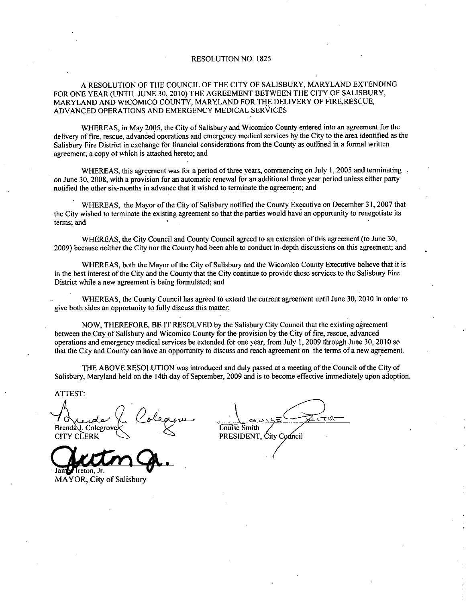#### RESOLUTION NO. 1825

#### A RESOLUTION OF THE COUNCIL OF THE CITY OF SALISBURY, MARYLAND EXTENDING FOR ONE YEAR (UNTIL JUNE 30, 2010) THE AGREEMENT BETWEEN THE CITY OF SALISBURY,<br>MARYLAND AND WICOMICO COUNTY, MARYLAND FOR THE DELIVERY OF FIRE,RESCUE, ADVANCED OPERATIONS AND EMERGENCY MEDICAL SERVICES

WHEREAS, in May 2005, the City of Salisbury and Wicomico County entered into an agreement for the delivery of fire, rescue, advanced operations and emergency medical services by the City to the area identified as the Salisbury Fire District in exchange for financial considerations from the County as outlined in <sup>a</sup> formal written agreement, a copy of which is attached hereto; and

WHEREAS, this agreement was for a period of three years, commencing on July  $1$ , 2005 and terminating on June 30, 2008, with a provision for an automatic renewal for an additional three year period unless either party WHEREAS, this agreement was for a period of three years, commencing on on June 30, 2008, with a provision for an automatic renewal for an additional three ye notified the other six-months in advance that it wished to termi

WHEREAS, the Mayor of the City of Salisbury notified the County Executive on December 31, 2007 that the City wished to terminate the existing agreement so that the parties would have an opportunity to renegotiate its terms; and

WHEREAS, the City Council and County Council agreed to an extension of this agreement (to June 30, 2009) because neither the City nor the County had been able to conduct in-depth discussions on this agreement; and

WHEREAS, both the Mayor of the City of Salisbury and the Wicomico County Executive believe that it is in the best interest of the City and the County that the City continue to provide these services to he Salisbury Fire District while a new agreement is being formulated; and

WHEREAS, the County Council has agreed to extend the current agreement until June 30, 2010 in order to give both sides an opportunity to fully discuss this matter

NOW, THEREFORE, BE IT RESOLVED by the Salisbury City Council that the existing agreement between the City of Salisbury and Wicomico County for the provision by the City of fire, rescue, advanced operations and emergency medical services be extended for one year from July 1 2009 through June 30 2010 so that the City and County can have an opportunity to discuss and reach agreement on the terms of a new agreement

THE ABOVE RESOLUTION was introduced and duly passed at <sup>a</sup> meeting ofthe Council of the City of Salisbury, Maryland held on the 14th day of September, 2009 and is to become effective immediately upon adoption.

ATTEST

Brenda<sup>l</sup>, Colegrove <u>7 August V</u><br>Brenda *L*. Colegrove V<br>CITY CLERK

lreton, Jr. MAYOR, City of Salisbury

Louise Smith PRESIDENT, City Council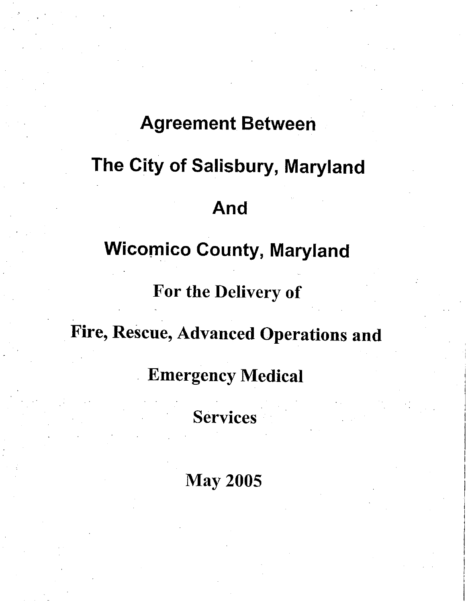## **Agreement Between**

## The City of Salisbury, Maryland

## And

## **Wicomico County, Maryland**

## For the Delivery of

## Fire, Rescue, Advanced Operations and

Emergency Medical

**Services** 

May 2005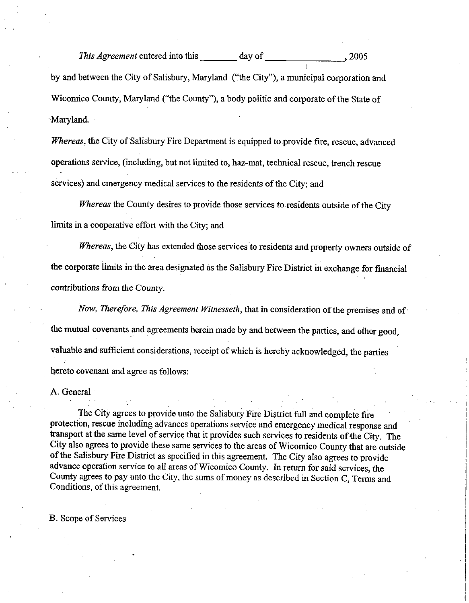This Agreement entered into this day of 2005 by and between the City of Salisbury, Maryland ("the City"), a municipal corporation and Wicomico County, Maryland ("the County"), a body politic and corporate of the State of Maryland

Whereas, the City of Salisbury Fire Department is equipped to provide fire, rescue, advanced operations service, (including, but not limited to, haz-mat, technical rescue, trench rescue services) and emergency medical services to the residents of the City; and

Whereas the County desires to provide those services to residents outside of the City limits in a cooperative effort with the City; and

Whereas, the City has extended those services to residents and property owners outside of the corporate limits in the area designated as the Salisbury Fire District in exchange for fmancial contributions from the County

Now, Therefore, This Agreement Witnesseth, that in consideration of the premises and of the mutual covenants and agreements herein made by and between the parties, and other good, valuable and sufficient considerations, receipt of which is hereby acknowledged, the parties hereto covenant and agree as follows

A. General

The City agrees to provide unto the Salisbury Fire District full and complete fire protection, rescue including advances operations service and emergency medical response and transport at the same level of service that it provides such services to residents of the City. The City also agrees to provide these same services to the areas ofWicomico County that are outside of the Salisbury Fire District as specified in this agreement. The City also agrees to provide advance operation service to all areas of Wicomico County. In return for said services, the County agrees to pay unto the City, the sums of money as described in Section C, Terms and Conditions, of this agreement.

**B.** Scope of Services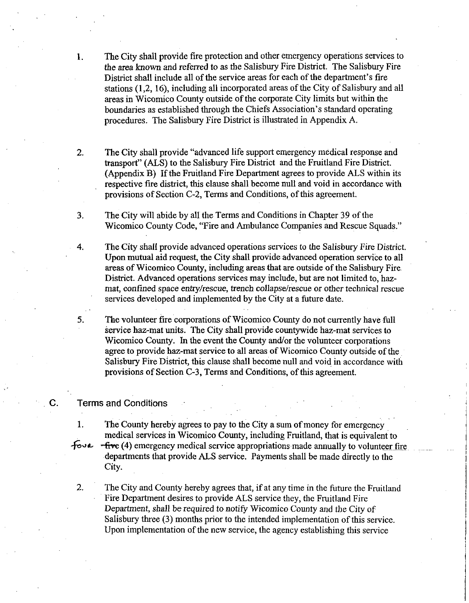- 1. The City shall provide fire protection and other emergency operations services to the area known and referred to as the Salisbury Fire District. The Salisbury Fire The City shall provide fire protection and other emergency operations servic<br>the area known and referred to as the Salisbury Fire District. The Salisbury<br>District shall include all of the service areas for each of the depa the area known and referred to as the sansolny i he District. The sansolny rice<br>District shall include all of the service areas for each of the department's fire<br>stations (1,2, 16), including all incorporate dareas of the areas in Wicomico County outside of the corporate City limits but within the The City shall provide fire protection and other emergency operations services<br>the area known and referred to as the Salisbury Fire District. The Salisbury Fi<br>District shall include all of the service areas for each of the procedures. The Salisbury Fire District is illustrated in Appendix A.
- 2. The City shall provide "advanced life support emergency medical response and transport" (ALS) to the Salisbury Fire District and the Fruitland Fire District. (Appendix B) If the Fruitland Fire Department agrees to provide ALS within its respective fire district, this clause shall become null and void in accordance with provisions of Section C-2, Terms and Conditions, of this agreement.
- 3 The City will abide by all the Terms and Conditions in Chapter <sup>39</sup> of the Wicomico County Code, "Fire and Ambulance Companies and Rescue Squads."
- 4. The City shall provide advanced operations services to the Salisbury Fire District. Upon mutual aid request, the City shall provide advanced operation service to all areas of Wicomico County, including areas that are outside of the Salisbury Fire. District. Advanced operations services may include, but are not limited to, hazmat, confined space entry/rescue, trench collapse/rescue or other technical rescue services developed and implemented by the City at <sup>a</sup> future date
- 5. The volunteer fire corporations of Wicomico County do not currently have full service haz-mat units. The City shall provide countywide haz-mat services to Wicomico County. In the event the County and/or the volunteer corporations agree to provide haz-mat service to all areas of Wicomico County outside of the Salisbury Fire District, this clause shall become null and void in accordance with provisions of Section C-3, Terms and Conditions, of this agreement.

#### C. Terms and Conditions

1. The County hereby agrees to pay to the City a sum of money for emergency medical services in Wicomico County, including Fruitland, that is equivalent to  $\overline{f}$ ova  $\overline{f}$ five (4) emergency medical service appropriations made annually to volunteer fire departments that provide ALS service. Payments shall be made directly to the City

2. The City and County hereby agrees that, if at any time in the future the Fruitland Fire Department desires to provide ALS service they, the Fruitland Fire Department, shall be required to notify Wicomico County and the City of Salisbury three  $(3)$  months prior to the intended implementation of this service. Upon implementation of the new service, the agency establishing this service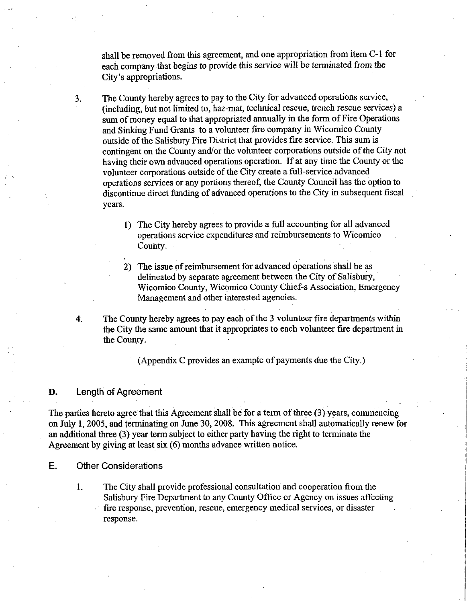shall be removed from this agreement, and one appropriation from item C-1 for each company that begins to provide this service will be terminated from the shall be removed from<br>each company that be<br>City's appropriations

3. The County hereby agrees to pay to the City for advanced operations service, (including, but not limited to, haz-mat, technical rescue, trench rescue services) a sum of money equal to that appropriated annually in the form of Fire Operations and Sinking Fund Grants to avolunteer fire company in Wicomico County outside ofthe Salisbury Fire District that provides fire service This sum is contingent on the County and/or the volunteer corporations outside of the City not having their own advanced operations operation. If at any time the County or the volunteer corporations outside of the City create a full-service advanced operations services or any portions thereof, the County Council has the option to discontinue direct funding of advanced operations to the City in subsequent fiscal years

- 1) The City hereby agrees to provide a full accounting for all advanced operations service expenditures and reimbursements to Wicomico County
- 2) The issue of reimbursement for advanced operations shall be as delineated by separate agreement between the City of Salisbury, Wicomico County, Wicomico County Chief-s Association, Emergency Management and other interested agencies
- 4. The County hereby agrees to pay each of the 3 volunteer fire departments within the City the same amount that it appropriates to each volunteer fire department in the County

(Appendix  $C$  provides an example of payments due the City.)

#### D. Length of Agreement

The parties hereto agree that this Agreement shall be for a term of three  $(3)$  years, commencing on July 1, 2005, and terminating on June 30, 2008. This agreement shall automatically renew for an additional three (3) year term subject to either party having the right to terminate the Agreement by giving at least six  $(6)$  months advance written notice.

- E. Other Considerations
	- 1. The City shall provide professional consultation and cooperation from the Salisbury Fire Department to any County Office or Agency on issues affecting fire response, prevention, rescue, emergency medical services, or disaster response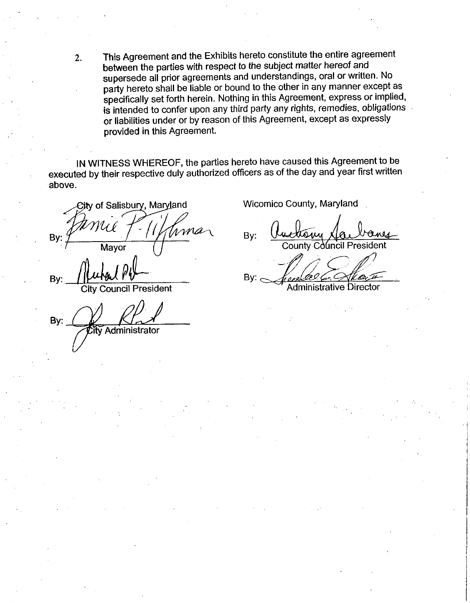2. This Agreement and the Exhibits hereto constitute the entire agreement between the parties with respect to the subject matter hereof and supersede all prior agreements and understandings, oral or written. No party hereto shall be liable or bound to the other in any manner except as specifically set forth herein. Nothing in this Agreement, express or implied, is intended to confer upon any third party any rights, remedies, obligations or liabilities under or by reason of this Agreement, except as expressly provided in this Agreement

IN WITNESS WHEREOF, the parties hereto have caused this Agreement to be executed by their respective duly authorized officers as of the day and year first written above

City of Salisbury, Maryland By: Mayor

Bv **Council President** 

By: Administrator

Wicomico County, Maryland

By: County Council President By:

Administrative Director